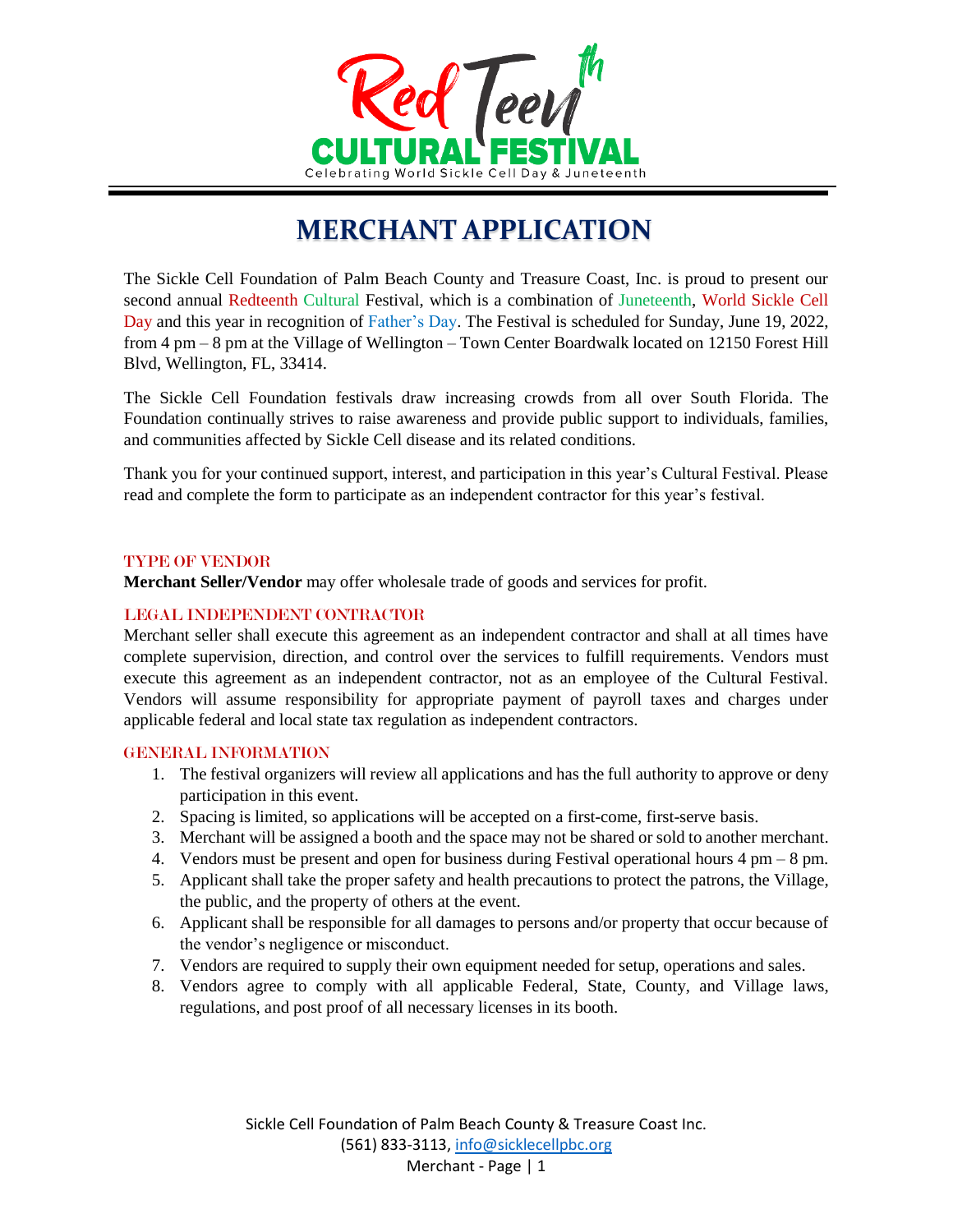

# **MERCHANT APPLICATION**

The Sickle Cell Foundation of Palm Beach County and Treasure Coast, Inc. is proud to present our second annual Redteenth Cultural Festival, which is a combination of Juneteenth, World Sickle Cell Day and this year in recognition of Father's Day. The Festival is scheduled for Sunday, June 19, 2022, from 4 pm – 8 pm at the Village of Wellington – Town Center Boardwalk located on 12150 Forest Hill Blvd, Wellington, FL, 33414.

The Sickle Cell Foundation festivals draw increasing crowds from all over South Florida. The Foundation continually strives to raise awareness and provide public support to individuals, families, and communities affected by Sickle Cell disease and its related conditions.

Thank you for your continued support, interest, and participation in this year's Cultural Festival. Please read and complete the form to participate as an independent contractor for this year's festival.

#### TYPE OF VENDOR

**Merchant Seller/Vendor** may offer wholesale trade of goods and services for profit.

## LEGAL INDEPENDENT CONTRACTOR

Merchant seller shall execute this agreement as an independent contractor and shall at all times have complete supervision, direction, and control over the services to fulfill requirements. Vendors must execute this agreement as an independent contractor, not as an employee of the Cultural Festival. Vendors will assume responsibility for appropriate payment of payroll taxes and charges under applicable federal and local state tax regulation as independent contractors.

## GENERAL INFORMATION

- 1. The festival organizers will review all applications and has the full authority to approve or deny participation in this event.
- 2. Spacing is limited, so applications will be accepted on a first-come, first-serve basis.
- 3. Merchant will be assigned a booth and the space may not be shared or sold to another merchant.
- 4. Vendors must be present and open for business during Festival operational hours 4 pm 8 pm.
- 5. Applicant shall take the proper safety and health precautions to protect the patrons, the Village, the public, and the property of others at the event.
- 6. Applicant shall be responsible for all damages to persons and/or property that occur because of the vendor's negligence or misconduct.
- 7. Vendors are required to supply their own equipment needed for setup, operations and sales.
- 8. Vendors agree to comply with all applicable Federal, State, County, and Village laws, regulations, and post proof of all necessary licenses in its booth.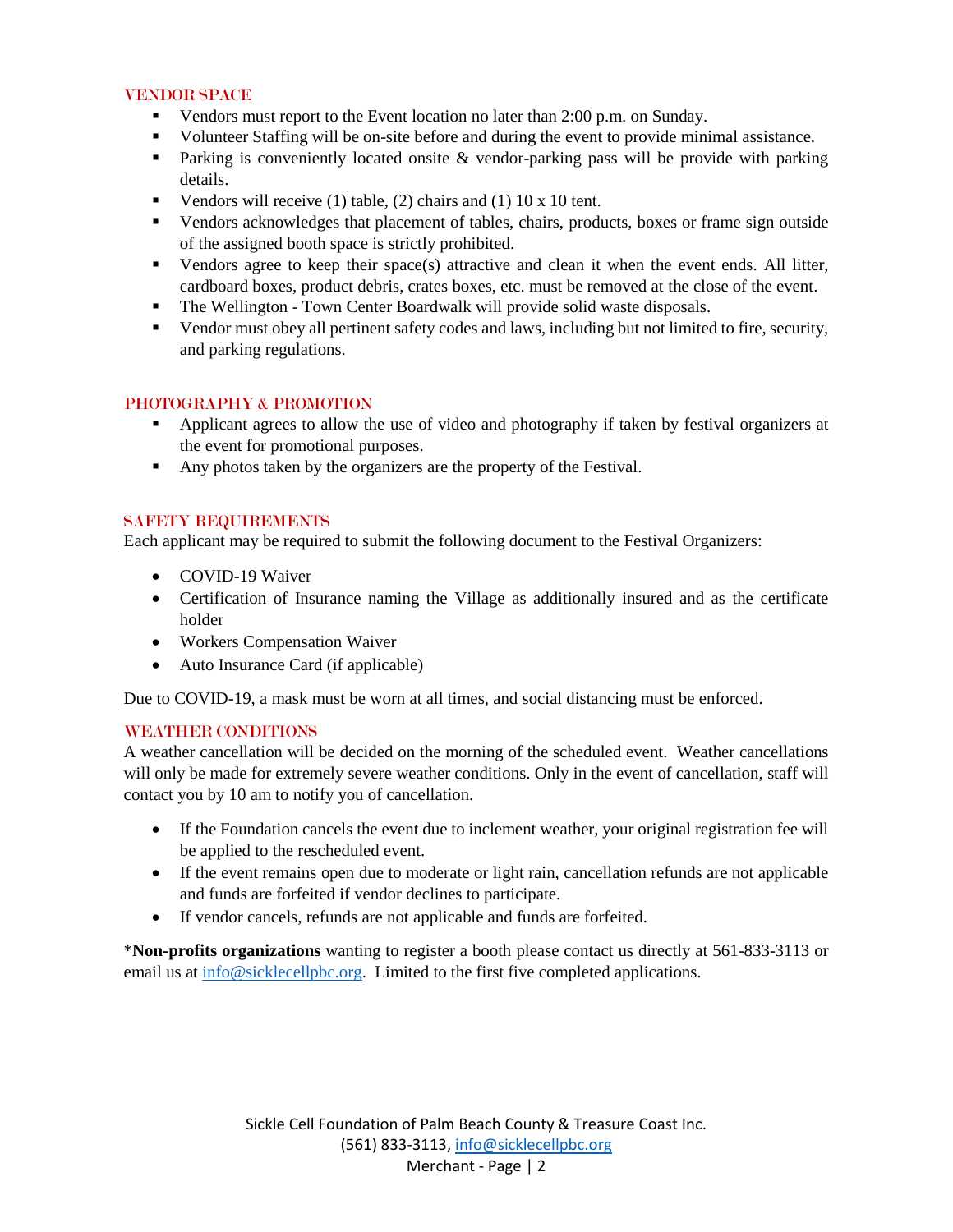## VENDOR SPACE

- Vendors must report to the Event location no later than 2:00 p.m. on Sunday.
- Volunteer Staffing will be on-site before and during the event to provide minimal assistance.
- **Parking is conveniently located onsite & vendor-parking pass will be provide with parking** details.
- Vendors will receive (1) table, (2) chairs and (1)  $10 \times 10$  tent.
- Vendors acknowledges that placement of tables, chairs, products, boxes or frame sign outside of the assigned booth space is strictly prohibited.
- Vendors agree to keep their space(s) attractive and clean it when the event ends. All litter, cardboard boxes, product debris, crates boxes, etc. must be removed at the close of the event.
- The Wellington Town Center Boardwalk will provide solid waste disposals.
- Vendor must obey all pertinent safety codes and laws, including but not limited to fire, security, and parking regulations.

# PHOTOGRAPHY & PROMOTION

- **•** Applicant agrees to allow the use of video and photography if taken by festival organizers at the event for promotional purposes.
- Any photos taken by the organizers are the property of the Festival.

# SAFETY REQUIREMENTS

Each applicant may be required to submit the following document to the Festival Organizers:

- COVID-19 Waiver
- Certification of Insurance naming the Village as additionally insured and as the certificate holder
- Workers Compensation Waiver
- Auto Insurance Card (if applicable)

Due to COVID-19, a mask must be worn at all times, and social distancing must be enforced.

# WEATHER CONDITIONS

A weather cancellation will be decided on the morning of the scheduled event. Weather cancellations will only be made for extremely severe weather conditions. Only in the event of cancellation, staff will contact you by 10 am to notify you of cancellation.

- If the Foundation cancels the event due to inclement weather, your original registration fee will be applied to the rescheduled event.
- If the event remains open due to moderate or light rain, cancellation refunds are not applicable and funds are forfeited if vendor declines to participate.
- If vendor cancels, refunds are not applicable and funds are forfeited.

\***Non-profits organizations** wanting to register a booth please contact us directly at 561-833-3113 or email us at [info@sicklecellpbc.org.](mailto:info@sicklecellpbc.org) Limited to the first five completed applications.